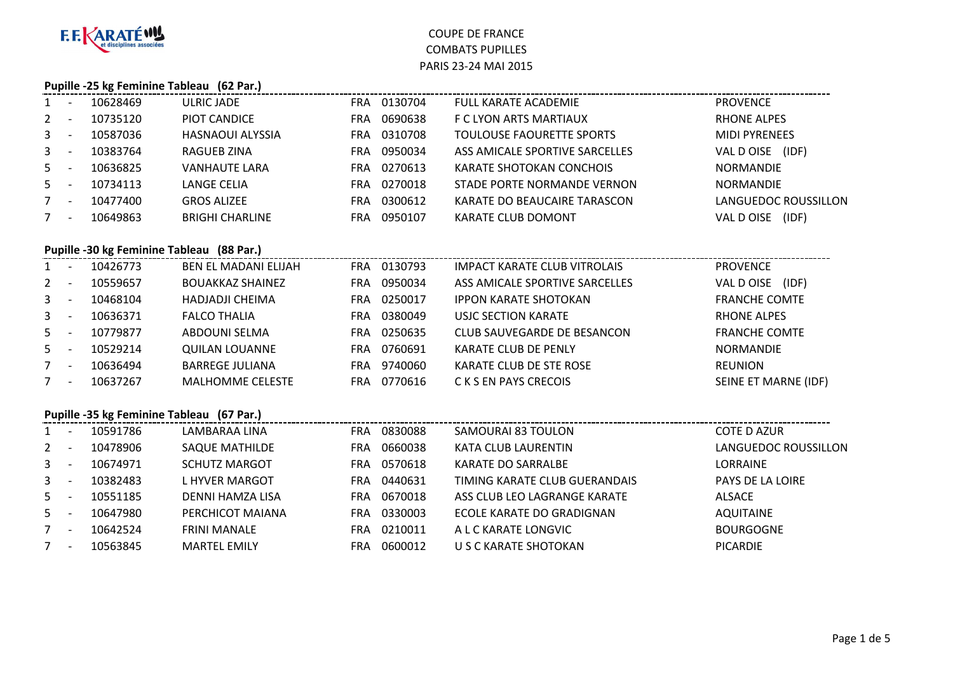

# **Pupille -25 kg Feminine Tableau (62 Par.)**

|       |          | <b>1 aprile - 29 kg Ferminic Tableau</b> (02 Fair) |                       |                                |                      |
|-------|----------|----------------------------------------------------|-----------------------|--------------------------------|----------------------|
| $1 -$ | 10628469 | ULRIC JADE                                         | 0130704<br>FRA.       | <b>FULL KARATE ACADEMIE</b>    | <b>PROVENCE</b>      |
| $2 -$ | 10735120 | PIOT CANDICE                                       | 0690638<br><b>FRA</b> | F C LYON ARTS MARTIAUX         | <b>RHONE ALPES</b>   |
| $3 -$ | 10587036 | <b>HASNAOUI ALYSSIA</b>                            | 0310708<br>FRA.       | TOULOUSE FAOURETTE SPORTS      | <b>MIDI PYRENEES</b> |
| $3 -$ | 10383764 | RAGUEB ZINA                                        | 0950034<br><b>FRA</b> | ASS AMICALE SPORTIVE SARCELLES | VAL DOISE<br>(IDF)   |
| $5 -$ | 10636825 | <b>VANHAUTE LARA</b>                               | 0270613<br>FRA        | KARATE SHOTOKAN CONCHOIS       | <b>NORMANDIE</b>     |
| $5 -$ | 10734113 | LANGE CELIA                                        | 0270018<br>FRA.       | STADE PORTE NORMANDE VERNON    | <b>NORMANDIE</b>     |
| $7 -$ | 10477400 | <b>GROS ALIZEE</b>                                 | 0300612<br><b>FRA</b> | KARATE DO BEAUCAIRE TARASCON   | LANGUEDOC ROUSSILLON |
| $7 -$ | 10649863 | <b>BRIGHI CHARLINE</b>                             | 0950107<br>FRA.       | KARATE CLUB DOMONT             | (IDF)<br>VAL D OISE  |
|       |          |                                                    |                       |                                |                      |

#### **Pupille -30 kg Feminine Tableau (88 Par.)**

| $\mathbf{1}$   | 10426773 | <b>BEN EL MADANI ELIJAH</b> | FRA. | 0130793 | IMPACT KARATE CLUB VITROLAIS   | <b>PROVENCE</b>      |
|----------------|----------|-----------------------------|------|---------|--------------------------------|----------------------|
| $2^{\circ}$    | 10559657 | <b>BOUAKKAZ SHAINEZ</b>     | FRA  | 0950034 | ASS AMICALE SPORTIVE SARCELLES | (IDF)<br>VAL DOISE   |
| $\mathbf{3}$   | 10468104 | <b>HADJADJI CHEIMA</b>      | FRA  | 0250017 | <b>IPPON KARATE SHOTOKAN</b>   | <b>FRANCHE COMTE</b> |
| 3 <sup>1</sup> | 10636371 | <b>FALCO THALIA</b>         | FRA  | 0380049 | <b>USJC SECTION KARATE</b>     | <b>RHONE ALPES</b>   |
| 5              | 10779877 | ABDOUNI SELMA               | FRA  | 0250635 | CLUB SAUVEGARDE DE BESANCON    | <b>FRANCHE COMTE</b> |
| 5              | 10529214 | QUILAN LOUANNE              | FRA  | 0760691 | KARATE CLUB DE PENLY           | <b>NORMANDIE</b>     |
| 7              | 10636494 | <b>BARREGE JULIANA</b>      | FRA  | 9740060 | KARATE CLUB DE STE ROSE        | <b>REUNION</b>       |
|                | 10637267 | <b>MALHOMME CELESTE</b>     | FRA  | 0770616 | C K S EN PAYS CRECOIS          | SEINE ET MARNE (IDF) |

#### **Pupille -35 kg Feminine Tableau (67 Par.)**

| $1 \quad$      | 10591786 | LAMBARAA LINA         | FRA | 0830088 | SAMOURAI 83 TOULON            | COTE D AZUR          |
|----------------|----------|-----------------------|-----|---------|-------------------------------|----------------------|
| $2^{\circ}$    | 10478906 | <b>SAQUE MATHILDE</b> | FRA | 0660038 | KATA CLUB LAURENTIN           | LANGUEDOC ROUSSILLON |
| $\mathbf{3}$   | 10674971 | <b>SCHUTZ MARGOT</b>  | FRA | 0570618 | KARATE DO SARRALBE            | LORRAINE             |
| 3 <sup>1</sup> | 10382483 | L HYVER MARGOT        | FRA | 0440631 | TIMING KARATE CLUB GUERANDAIS | PAYS DE LA LOIRE     |
| $5 -$          | 10551185 | DENNI HAMZA LISA      | FRA | 0670018 | ASS CLUB LEO LAGRANGE KARATE  | <b>ALSACE</b>        |
| $5 -$          | 10647980 | PERCHICOT MAIANA      | FRA | 0330003 | ECOLE KARATE DO GRADIGNAN     | <b>AQUITAINE</b>     |
|                | 10642524 | <b>FRINI MANALE</b>   | FRA | 0210011 | A L C KARATE LONGVIC          | <b>BOURGOGNE</b>     |
|                | 10563845 | <b>MARTEL EMILY</b>   | FRA | 0600012 | U S C KARATE SHOTOKAN         | <b>PICARDIE</b>      |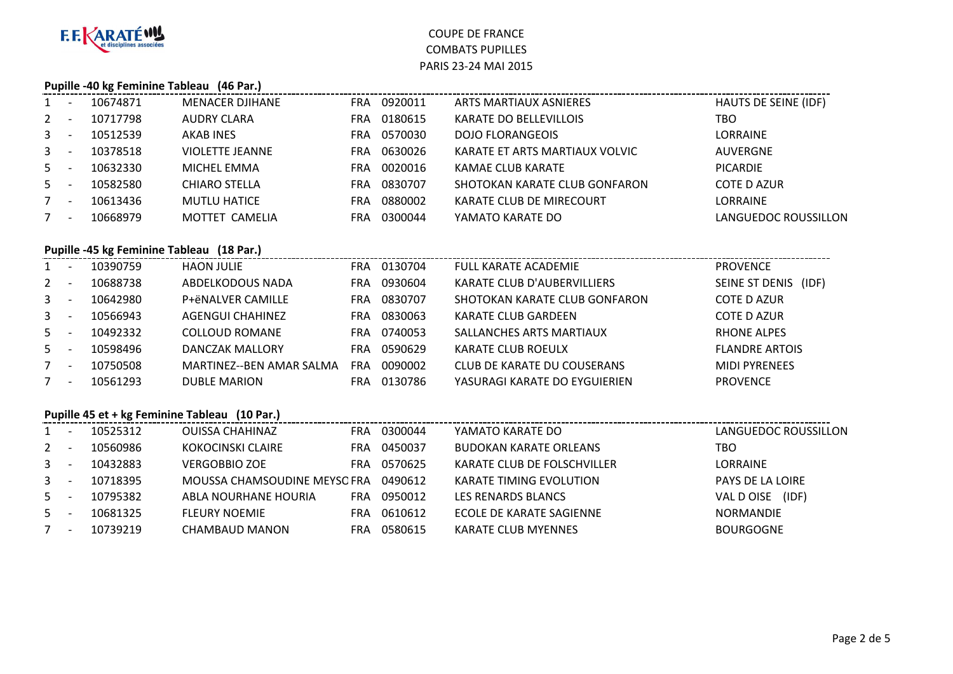

#### **Pupille -40 kg Feminine Tableau (46 Par.)**

| 1              | 10674871 | <b>MENACER DJIHANE</b> | FRA        | 0920011 | ARTS MARTIAUX ASNIERES          | HAUTS DE SEINE (IDF) |
|----------------|----------|------------------------|------------|---------|---------------------------------|----------------------|
| 2              | 10717798 | AUDRY CLARA            | FRA        | 0180615 | KARATE DO BELLEVILLOIS          | TBO                  |
| 3 <sup>7</sup> | 10512539 | AKAB INES              | FRA        | 0570030 | <b>DOJO FLORANGEOIS</b>         | <b>LORRAINE</b>      |
| $3^{\circ}$    | 10378518 | <b>VIOLETTE JEANNE</b> | FRA        | 0630026 | KARATE ET ARTS MARTIAUX VOLVIC  | AUVERGNE             |
| 5              | 10632330 | MICHEL EMMA            | <b>FRA</b> | 0020016 | KAMAE CLUB KARATE               | <b>PICARDIE</b>      |
| 5              | 10582580 | <b>CHIARO STELLA</b>   | FRA        | 0830707 | SHOTOKAN KARATE CLUB GONFARON   | <b>COTE D AZUR</b>   |
| $7^{\circ}$    | 10613436 | <b>MUTLU HATICE</b>    | FRA        | 0880002 | <b>KARATE CLUB DE MIRECOURT</b> | <b>LORRAINE</b>      |
| 7              | 10668979 | MOTTET CAMELIA         | FRA        | 0300044 | YAMATO KARATE DO                | LANGUEDOC ROUSSILLON |
|                |          |                        |            |         |                                 |                      |

### **Pupille -45 kg Feminine Tableau (18 Par.)**

| $1 \quad$    | 10390759 | <b>HAON JULIE</b>        | FRA | 0130704 | <b>FULL KARATE ACADEMIE</b>        | <b>PROVENCE</b>         |
|--------------|----------|--------------------------|-----|---------|------------------------------------|-------------------------|
| $2^{\circ}$  | 10688738 | ABDELKODOUS NADA         | FRA | 0930604 | <b>KARATE CLUB D'AUBERVILLIERS</b> | SEINE ST DENIS<br>(IDF) |
| $\mathbf{3}$ | 10642980 | P+ëNALVER CAMILLE        | FRA | 0830707 | SHOTOKAN KARATE CLUB GONFARON      | COTE D AZUR             |
| $\mathbf{3}$ | 10566943 | AGENGUI CHAHINEZ         | FRA | 0830063 | KARATE CLUB GARDEEN                | COTE D AZUR             |
| 5            | 10492332 | <b>COLLOUD ROMANE</b>    | FRA | 0740053 | SALLANCHES ARTS MARTIAUX           | <b>RHONE ALPES</b>      |
| 5            | 10598496 | DANCZAK MALLORY          | FRA | 0590629 | KARATE CLUB ROEULX                 | <b>FLANDRE ARTOIS</b>   |
| $7^{\circ}$  | 10750508 | MARTINEZ--BEN AMAR SALMA | FRA | 0090002 | CLUB DE KARATE DU COUSERANS        | <b>MIDI PYRENEES</b>    |
|              | 10561293 | <b>DUBLE MARION</b>      | FRA | 0130786 | YASURAGI KARATE DO EYGUIERIEN      | <b>PROVENCE</b>         |

### **Pupille 45 et + kg Feminine Tableau (10 Par.)**

|                | 10525312 | <b>OUISSA CHAHINAZ</b>       | FRA  | 0300044 | YAMATO KARATE DO              | LANGUEDOC ROUSSILLON |
|----------------|----------|------------------------------|------|---------|-------------------------------|----------------------|
| $2^{\circ}$    | 10560986 | KOKOCINSKI CLAIRE            | FRA  | 0450037 | <b>BUDOKAN KARATE ORLEANS</b> | TBO                  |
| $3 -$          | 10432883 | <b>VERGOBBIO ZOE</b>         | FRA. | 0570625 | KARATE CLUB DE FOLSCHVILLER   | <b>LORRAINE</b>      |
| 3 <sup>7</sup> | 10718395 | MOUSSA CHAMSOUDINE MEYSO FRA |      | 0490612 | KARATE TIMING EVOLUTION       | PAYS DE LA LOIRE     |
| $5 -$          | 10795382 | ABLA NOURHANE HOURIA         | FRA  | 0950012 | <b>LES RENARDS BLANCS</b>     | (IDF)<br>VAL DOISE   |
| $5 -$          | 10681325 | <b>FLEURY NOEMIE</b>         | FRA  | 0610612 | ECOLE DE KARATE SAGIENNE      | <b>NORMANDIE</b>     |
|                | 10739219 | CHAMBAUD MANON               | FRA  | 0580615 | KARATE CLUB MYENNES           | <b>BOURGOGNE</b>     |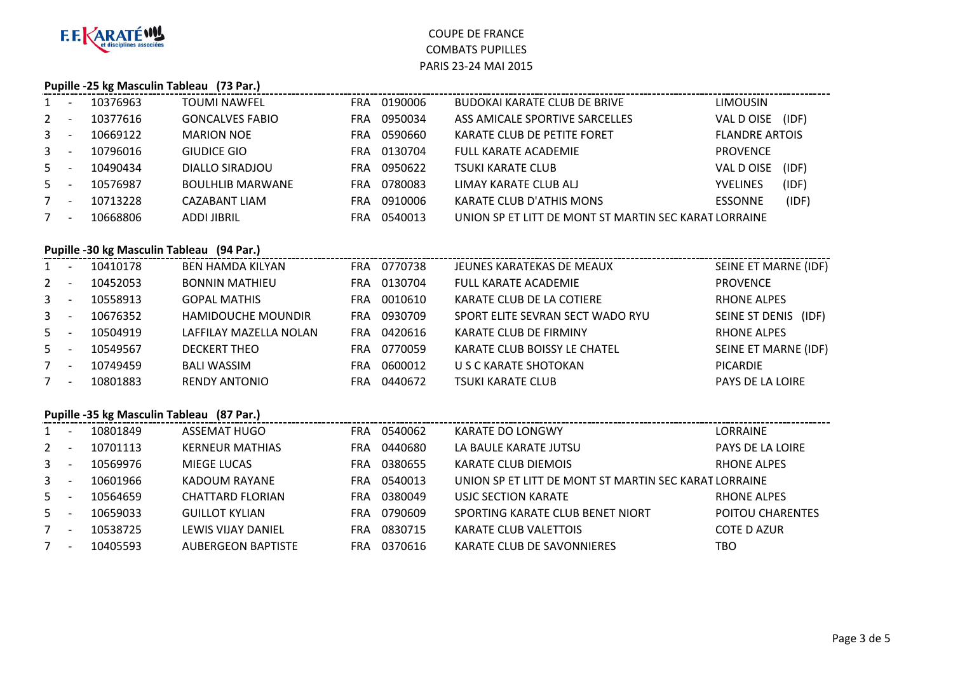

#### **Pupille -25 kg Masculin Tableau (73 Par.)**

| $\mathbf{1}$ |                          | 10376963 | TOUMI NAWFEL            | FRA        | 0190006 | BUDOKAI KARATE CLUB DE BRIVE                          | <b>LIMOUSIN</b>       |       |
|--------------|--------------------------|----------|-------------------------|------------|---------|-------------------------------------------------------|-----------------------|-------|
| $2^{\circ}$  |                          | 10377616 | <b>GONCALVES FABIO</b>  | FRA        | 0950034 | ASS AMICALE SPORTIVE SARCELLES                        | VAL DOISE             | (IDF) |
| $3 -$        |                          | 10669122 | <b>MARION NOE</b>       | FRA        | 0590660 | KARATE CLUB DE PETITE FORET                           | <b>FLANDRE ARTOIS</b> |       |
| $3^{\circ}$  |                          | 10796016 | <b>GIUDICE GIO</b>      | FRA        | 0130704 | <b>FULL KARATE ACADEMIE</b>                           | <b>PROVENCE</b>       |       |
| $5 -$        |                          | 10490434 | DIALLO SIRADJOU         | FRA        | 0950622 | TSUKI KARATE CLUB                                     | VAL DOISE             | (IDF) |
| $5 -$        |                          | 10576987 | <b>BOULHLIB MARWANE</b> | <b>FRA</b> | 0780083 | LIMAY KARATE CLUB ALI                                 | <b>YVELINES</b>       | (IDF) |
|              | $\overline{\phantom{a}}$ | 10713228 | CAZABANT LIAM           | FRA        | 0910006 | <b>KARATE CLUB D'ATHIS MONS</b>                       | <b>ESSONNE</b>        | (IDF) |
|              |                          | 10668806 | ADDI JIBRIL             | FRA        | 0540013 | UNION SP ET LITT DE MONT ST MARTIN SEC KARAT LORRAINE |                       |       |

#### **Pupille -30 kg Masculin Tableau (94 Par.)**

| 1            | 10410178 | <b>BEN HAMDA KILYAN</b>   | FRA        | 0770738 | JEUNES KARATEKAS DE MEAUX        | SEINE ET MARNE (IDF) |
|--------------|----------|---------------------------|------------|---------|----------------------------------|----------------------|
| $2^{\circ}$  | 10452053 | <b>BONNIN MATHIEU</b>     | <b>FRA</b> | 0130704 | <b>FULL KARATE ACADEMIE</b>      | <b>PROVENCE</b>      |
| $\mathbf{3}$ | 10558913 | <b>GOPAL MATHIS</b>       | FRA.       | 0010610 | KARATE CLUB DE LA COTIERE        | <b>RHONE ALPES</b>   |
| $\mathbf{3}$ | 10676352 | <b>HAMIDOUCHE MOUNDIR</b> | FRA.       | 0930709 | SPORT ELITE SEVRAN SECT WADO RYU | SEINE ST DENIS (IDF) |
| 5            | 10504919 | LAFFILAY MAZELLA NOLAN    | FRA        | 0420616 | KARATE CLUB DE FIRMINY           | <b>RHONE ALPES</b>   |
| 5            | 10549567 | <b>DECKERT THEO</b>       | FRA.       | 0770059 | KARATE CLUB BOISSY LE CHATEL     | SEINE ET MARNE (IDF) |
| $7^{\circ}$  | 10749459 | <b>BALI WASSIM</b>        | <b>FRA</b> | 0600012 | U S C KARATE SHOTOKAN            | <b>PICARDIE</b>      |
| 7            | 10801883 | <b>RENDY ANTONIO</b>      | <b>FRA</b> | 0440672 | <b>TSUKI KARATE CLUB</b>         | PAYS DE LA LOIRE     |

#### **Pupille -35 kg Masculin Tableau (87 Par.)**

| 1            | 10801849 | ASSEMAT HUGO              | FRA        | 0540062 | KARATE DO LONGWY                                      | LORRAINE                |
|--------------|----------|---------------------------|------------|---------|-------------------------------------------------------|-------------------------|
| 2            | 10701113 | <b>KERNEUR MATHIAS</b>    | <b>FRA</b> | 0440680 | LA BAULE KARATE JUTSU                                 | <b>PAYS DE LA LOIRE</b> |
| $\mathbf{3}$ | 10569976 | <b>MIEGE LUCAS</b>        | FRA        | 0380655 | KARATE CLUB DIEMOIS                                   | <b>RHONE ALPES</b>      |
| $\mathbf{3}$ | 10601966 | KADOUM RAYANE             | FRA.       | 0540013 | UNION SP ET LITT DE MONT ST MARTIN SEC KARAT LORRAINE |                         |
| $5 -$        | 10564659 | CHATTARD FLORIAN          | FRA        | 0380049 | USJC SECTION KARATE                                   | RHONE ALPES             |
| 5            | 10659033 | <b>GUILLOT KYLIAN</b>     | FRA        | 0790609 | SPORTING KARATE CLUB BENET NIORT                      | <b>POITOU CHARENTES</b> |
| 7            | 10538725 | LEWIS VIJAY DANIEL        | FRA        | 0830715 | KARATE CLUB VALETTOIS                                 | COTE D AZUR             |
| 7            | 10405593 | <b>AUBERGEON BAPTISTE</b> | FRA        | 0370616 | KARATE CLUB DE SAVONNIERES                            | тво                     |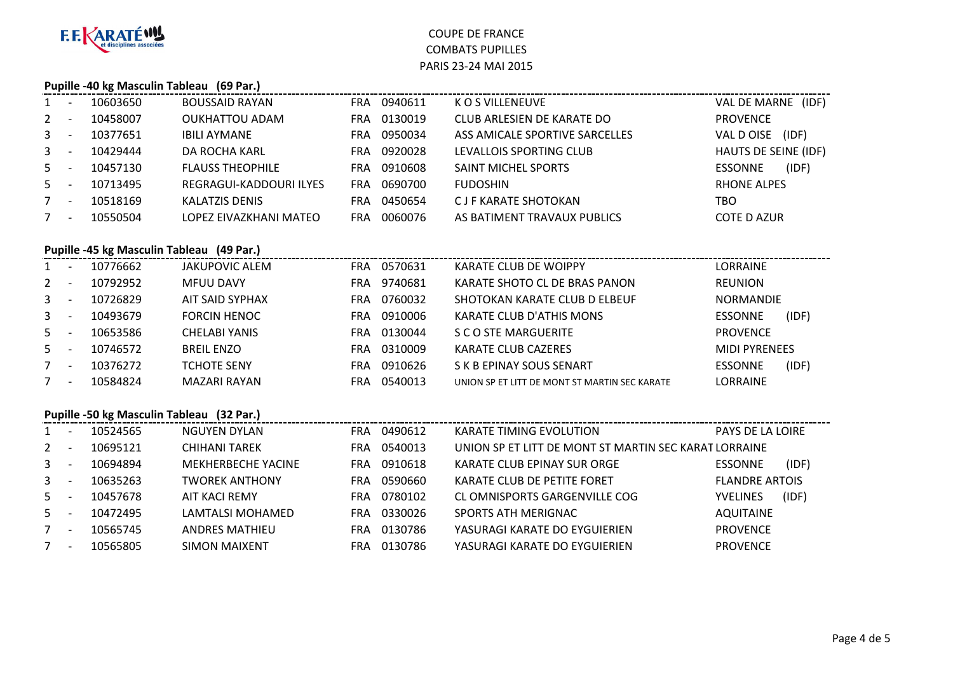

### **Pupille -40 kg Masculin Tableau (69 Par.)**

| 1            | 10603650 | <b>BOUSSAID RAYAN</b>   | <b>FRA</b> | 0940611 | K O S VILLENEUVE               | (IDF)<br>VAL DE MARNE   |
|--------------|----------|-------------------------|------------|---------|--------------------------------|-------------------------|
| $2^{\circ}$  | 10458007 | <b>OUKHATTOU ADAM</b>   | FRA        | 0130019 | CLUB ARLESIEN DE KARATE DO     | <b>PROVENCE</b>         |
| $\mathbf{3}$ | 10377651 | <b>IBILI AYMANE</b>     | FRA        | 0950034 | ASS AMICALE SPORTIVE SARCELLES | (IDF)<br>VAL D OISE     |
| $3^{\circ}$  | 10429444 | DA ROCHA KARL           | FRA        | 0920028 | LEVALLOIS SPORTING CLUB        | HAUTS DE SEINE (IDF)    |
| $5 -$        | 10457130 | <b>FLAUSS THEOPHILE</b> | <b>FRA</b> | 0910608 | <b>SAINT MICHEL SPORTS</b>     | (IDF)<br><b>ESSONNE</b> |
| $5 -$        | 10713495 | REGRAGUI-KADDOURI ILYES | FRA        | 0690700 | <b>FUDOSHIN</b>                | <b>RHONE ALPES</b>      |
| 7            | 10518169 | <b>KALATZIS DENIS</b>   | FRA        | 0450654 | <b>CJF KARATE SHOTOKAN</b>     | TBO                     |
| 7            | 10550504 | LOPEZ EIVAZKHANI MATEO  | FRA        | 0060076 | AS BATIMENT TRAVAUX PUBLICS    | <b>COTE D AZUR</b>      |

#### **Pupille -45 kg Masculin Tableau (49 Par.)**

| $1 \quad$      |                          | 10776662 | JAKUPOVIC ALEM       | <b>FRA</b> | 0570631 | KARATE CLUB DE WOIPPY                         | LORRAINE                |  |
|----------------|--------------------------|----------|----------------------|------------|---------|-----------------------------------------------|-------------------------|--|
| $2^{\circ}$    |                          | 10792952 | <b>MFUU DAVY</b>     | FRA        | 9740681 | KARATE SHOTO CL DE BRAS PANON                 | <b>REUNION</b>          |  |
| 3 <sup>7</sup> |                          | 10726829 | AIT SAID SYPHAX      | <b>FRA</b> | 0760032 | SHOTOKAN KARATE CLUB D ELBEUF                 | <b>NORMANDIE</b>        |  |
| 3 <sup>1</sup> |                          | 10493679 | <b>FORCIN HENOC</b>  | <b>FRA</b> | 0910006 | KARATE CLUB D'ATHIS MONS                      | (IDF)<br><b>ESSONNE</b> |  |
| $5 -$          |                          | 10653586 | <b>CHELABI YANIS</b> | FRA        | 0130044 | S C O STE MARGUERITE                          | <b>PROVENCE</b>         |  |
| $5 -$          |                          | 10746572 | <b>BREIL ENZO</b>    | FRA        | 0310009 | KARATE CLUB CAZERES                           | <b>MIDI PYRENEES</b>    |  |
|                | $\overline{\phantom{a}}$ | 10376272 | <b>TCHOTE SENY</b>   | FRA        | 0910626 | S K B EPINAY SOUS SENART                      | (IDF)<br><b>ESSONNE</b> |  |
| 7              | $\overline{\phantom{a}}$ | 10584824 | <b>MAZARI RAYAN</b>  | FRA        | 0540013 | UNION SP ET LITT DE MONT ST MARTIN SEC KARATE | LORRAINE                |  |

#### **Pupille -50 kg Masculin Tableau (32 Par.)**

| $1 \quad$    | 10524565 | <b>NGUYEN DYLAN</b>       | FRA. | 0490612 | <b>KARATE TIMING EVOLUTION</b>                        | <b>PAYS DE LA LOIRE</b> |       |
|--------------|----------|---------------------------|------|---------|-------------------------------------------------------|-------------------------|-------|
| $2^{\circ}$  | 10695121 | <b>CHIHANI TAREK</b>      | FRA  | 0540013 | UNION SP ET LITT DE MONT ST MARTIN SEC KARAT LORRAINE |                         |       |
| $\mathbf{3}$ | 10694894 | <b>MEKHERBECHE YACINE</b> | FRA  | 0910618 | KARATE CLUB EPINAY SUR ORGE                           | <b>ESSONNE</b>          | (IDF) |
| 3            | 10635263 | TWOREK ANTHONY            | FRA  | 0590660 | KARATE CLUB DE PETITE FORET                           | <b>FLANDRE ARTOIS</b>   |       |
| 5            | 10457678 | AIT KACI REMY             | FRA  | 0780102 | CL OMNISPORTS GARGENVILLE COG                         | <b>YVELINES</b>         | (IDF) |
| .5.          | 10472495 | LAMTALSI MOHAMED          | FRA  | 0330026 | SPORTS ATH MERIGNAC                                   | <b>AQUITAINE</b>        |       |
|              | 10565745 | <b>ANDRES MATHIEU</b>     | FRA  | 0130786 | YASURAGI KARATE DO EYGUIERIEN                         | <b>PROVENCE</b>         |       |
| $7^{\circ}$  | 10565805 | <b>SIMON MAIXENT</b>      | FRA  | 0130786 | YASURAGI KARATE DO EYGUIERIEN                         | <b>PROVENCE</b>         |       |